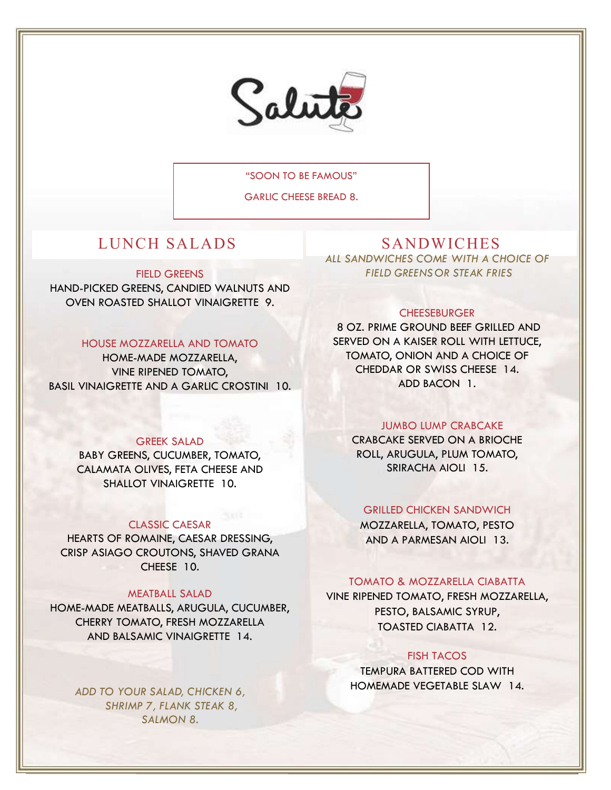

"SOON TO BE FAMOUS"

GARLIC CHEESE BREAD 8.

# LUNCH SALADS SANDWICHES

FIELD GREENS

HAND-PICKED GREENS, CANDIED WALNUTS AND OVEN ROASTED SHALLOT VINAIGRETTE 9.

# HOUSE MOZZARELLA AND TOMATO

HOME-MADE MOZZARELLA, VINE RIPENED TOMATO, BASIL VINAIGRETTE AND A GARLIC CROSTINI 10.

### GREEK SALAD

BABY GREENS, CUCUMBER, TOMATO, CALAMATA OLIVES, FETA CHEESE AND SHALLOT VINAIGRETTE 10.

### CLASSIC CAESAR

HEARTS OF ROMAINE, CAESAR DRESSING, CRISP ASIAGO CROUTONS, SHAVED GRANA CHEESE 10.

### MEATBALL SALAD

HOME-MADE MEATBALLS, ARUGULA, CUCUMBER, CHERRY TOMATO, FRESH MOZZARELLA AND BALSAMIC VINAIGRETTE 14.

ADD TO YOUR SALAD, CHICKEN 6, SHRIMP 7, FLANK STEAK 8, SALMON 8.

ALL SANDWICHES COME WITH A CHOICE OF FIELD GREENS OR STEAK FRIES

### **CHEESEBURGER**

8 OZ. PRIME GROUND BEEF GRILLED AND SERVED ON A KAISER ROLL WITH LETTUCE, TOMATO, ONION AND A CHOICE OF CHEDDAR OR SWISS CHEESE 14. ADD BACON 1.

# JUMBO LUMP CRABCAKE

CRABCAKE SERVED ON A BRIOCHE ROLL, ARUGULA, PLUM TOMATO, SRIRACHA AIOLI 15.

# GRILLED CHICKEN SANDWICH

MOZZARELLA, TOMATO, PESTO AND A PARMESAN AIOLI 13.

### TOMATO & MOZZARELLA CIABATTA

VINE RIPENED TOMATO, FRESH MOZZARELLA, PESTO, BALSAMIC SYRUP, TOASTED CIABATTA 12.

### FISH TACOS

TEMPURA BATTERED COD WITH HOMEMADE VEGETABLE SLAW 14.